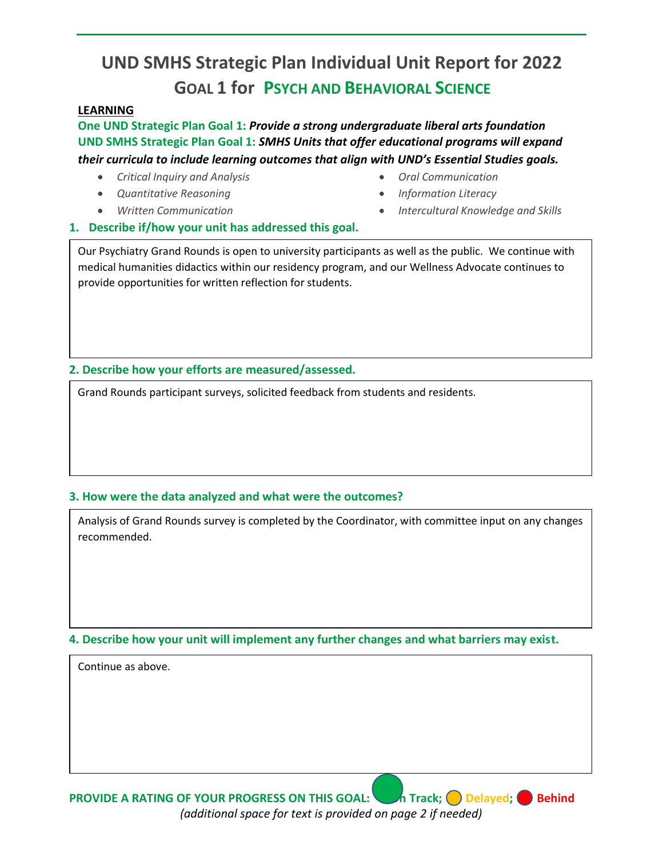## **UND SMHS Strategic Plan Individual Unit Report for 2022 GOAL 1 for PSYCH AND BEHAVIORAL SCIENCE**

## **LEARNING**

**One UND Strategic Plan Goal 1:** *Provide a strong undergraduate liberal arts foundation* **UND SMHS Strategic Plan Goal 1:** *SMHS Units that offer educational programs will expand their curricula to include learning outcomes that align with UND's Essential Studies goals.* 

- *Critical Inquiry and Analysis*
- *Quantitative Reasoning*
- *Written Communication*
- *Oral Communication*
- *Information Literacy*
- *Intercultural Knowledge and Skills*
- **1. Describe if/how your unit has addressed this goal.**

Our Psychiatry Grand Rounds is open to university participants as well as the public. We continue with medical humanities didactics within our residency program, and our Wellness Advocate continues to provide opportunities for written reflection for students.

**2. Describe how your efforts are measured/assessed.** 

Grand Rounds participant surveys, solicited feedback from students and residents.

## **3. How were the data analyzed and what were the outcomes?**

Analysis of Grand Rounds survey is completed by the Coordinator, with committee input on any changes recommended.

**4. Describe how your unit will implement any further changes and what barriers may exist.**

Continue as above.

**PROVIDE A RATING OF YOUR PROGRESS ON THIS GOAL:** Track; Delayed; Behind *(additional space for text is provided on page 2 if needed)*